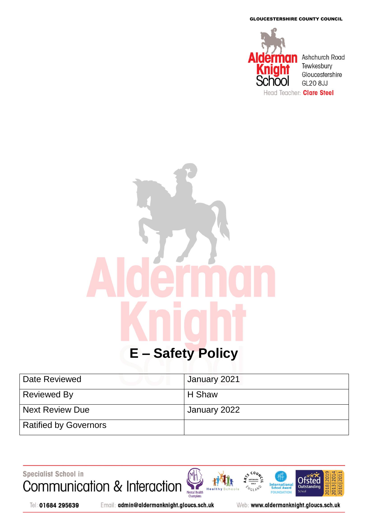GLOUCESTERSHIRE COUNTY COUNCIL



# **E – Safety Policy**

| Date Reviewed                | January 2021 |
|------------------------------|--------------|
| <b>Reviewed By</b>           | H Shaw       |
| <b>Next Review Due</b>       | January 2022 |
| <b>Ratified by Governors</b> |              |

Specialist School in



Tel: 01684 295639

Email: admin@aldermanknight.gloucs.sch.uk

Web: www.aldermanknight.gloucs.sch.uk

**International**<br>School Award

FOU **DATIO** 

**NGLAN** 

**201** 

2018

**Ofsted** 

Outstand

**Schoo** 

020 20

2013|20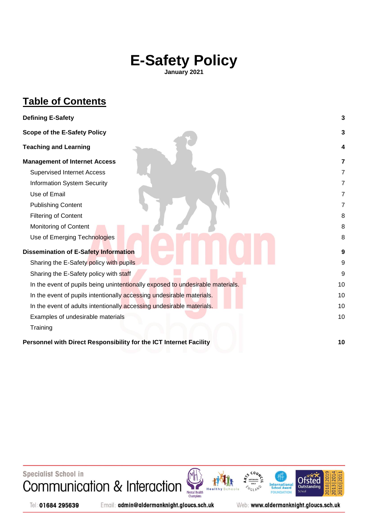# **E-Safety Policy**

**January 2021**

## **Table of Contents**

| <b>Defining E-Safety</b>                                                       | 3              |
|--------------------------------------------------------------------------------|----------------|
| <b>Scope of the E-Safety Policy</b>                                            | 3              |
| <b>Teaching and Learning</b>                                                   | 4              |
| <b>Management of Internet Access</b>                                           | 7              |
| <b>Supervised Internet Access</b>                                              | 7              |
| Information System Security                                                    | $\overline{7}$ |
| Use of Email                                                                   | $\overline{7}$ |
| <b>Publishing Content</b>                                                      | 7              |
| <b>Filtering of Content</b>                                                    | 8              |
| Monitoring of Content                                                          | 8              |
| Use of Emerging Technologies                                                   | 8              |
| <b>Dissemination of E-Safety Information</b>                                   | 9              |
| Sharing the E-Safety policy with pupils                                        | 9              |
| Sharing the E-Safety policy with staff                                         | 9              |
| In the event of pupils being unintentionally exposed to undesirable materials. | 10             |
| In the event of pupils intentionally accessing undesirable materials.          | 10             |
| In the event of adults intentionally accessing undesirable materials.          | 10             |
| Examples of undesirable materials                                              | 10             |
| Training                                                                       |                |
| Personnel with Direct Responsibility for the ICT Internet Facility             | 10             |

Specialist School in Communication & Interaction

Mental Health<br>Champions

**International**<br>School Award **NGLAND Schoo** FOU **DATION** 



Tel: 01684 295639

Email: admin@aldermanknight.gloucs.sch.uk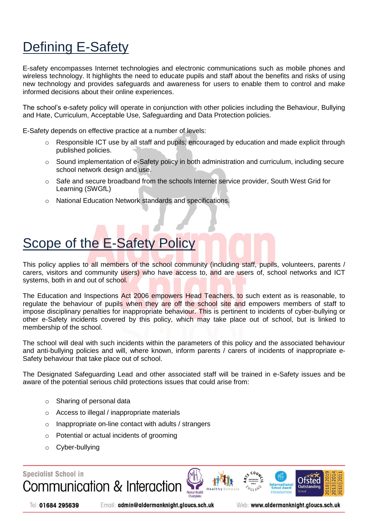# <span id="page-2-0"></span>Defining E-Safety

E-safety encompasses Internet technologies and electronic communications such as mobile phones and wireless technology. It highlights the need to educate pupils and staff about the benefits and risks of using new technology and provides safeguards and awareness for users to enable them to control and make informed decisions about their online experiences.

The school's e-safety policy will operate in conjunction with other policies including the Behaviour, Bullying and Hate, Curriculum, Acceptable Use, Safeguarding and Data Protection policies.

E-Safety depends on effective practice at a number of levels:

- $\circ$  Responsible ICT use by all staff and pupils; encouraged by education and made explicit through published policies.
- o Sound implementation of e-Safety policy in both administration and curriculum, including secure school network design and use.
- o Safe and secure broadband from the schools Internet service provider, South West Grid for Learning (SWGfL)
- o National Education Network standards and specifications.

# <span id="page-2-1"></span>Scope of the E-Safety Policy

This policy applies to all members of the school community (including staff, pupils, volunteers, parents / carers, visitors and community users) who have access to, and are users of, school networks and ICT systems, both in and out of school.

The Education and Inspections Act 2006 empowers Head Teachers, to such extent as is reasonable, to regulate the behaviour of pupils when they are off the school site and empowers members of staff to impose disciplinary penalties for inappropriate behaviour. This is pertinent to incidents of cyber-bullying or other e-Safety incidents covered by this policy, which may take place out of school, but is linked to membership of the school.

The school will deal with such incidents within the parameters of this policy and the associated behaviour and anti-bullying policies and will, where known, inform parents / carers of incidents of inappropriate e-Safety behaviour that take place out of school.

The Designated Safeguarding Lead and other associated staff will be trained in e-Safety issues and be aware of the potential serious child protections issues that could arise from:

- o Sharing of personal data
- o Access to illegal / inappropriate materials
- o Inappropriate on-line contact with adults / strangers
- o Potential or actual incidents of grooming
- o Cyber-bullying

**Specialist School in** 







Tel: 01684 295639

Email: admin@aldermanknight.gloucs.sch.uk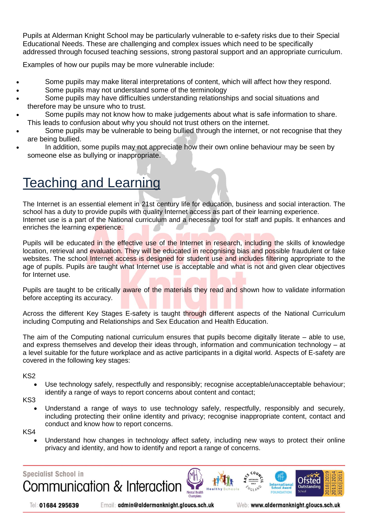Pupils at Alderman Knight School may be particularly vulnerable to e-safety risks due to their Special Educational Needs. These are challenging and complex issues which need to be specifically addressed through focused teaching sessions, strong pastoral support and an appropriate curriculum.

Examples of how our pupils may be more vulnerable include:

- Some pupils may make literal interpretations of content, which will affect how they respond.
- Some pupils may not understand some of the terminology
- Some pupils may have difficulties understanding relationships and social situations and therefore may be unsure who to trust.
- Some pupils may not know how to make judgements about what is safe information to share. This leads to confusion about why you should not trust others on the internet.
- Some pupils may be vulnerable to being bullied through the internet, or not recognise that they are being bullied.
- In addition, some pupils may not appreciate how their own online behaviour may be seen by someone else as bullying or inappropriate.

# <span id="page-3-0"></span>Teaching and Learning

The Internet is an essential element in 21st century life for education, business and social interaction. The school has a duty to provide pupils with quality Internet access as part of their learning experience. Internet use is a part of the National curriculum and a necessary tool for staff and pupils. It enhances and enriches the learning experience.

Pupils will be educated in the effective use of the Internet in research, including the skills of knowledge location, retrieval and evaluation. They will be educated in recognising bias and possible fraudulent or fake websites. The school Internet access is designed for student use and includes filtering appropriate to the age of pupils. Pupils are taught what Internet use is acceptable and what is not and given clear objectives for Internet use.

Pupils are taught to be critically aware of the materials they read and shown how to validate information before accepting its accuracy.

Across the different Key Stages E-safety is taught through different aspects of the National Curriculum including Computing and Relationships and Sex Education and Health Education.

The aim of the Computing national curriculum ensures that pupils become digitally literate – able to use, and express themselves and develop their ideas through, information and communication technology – at a level suitable for the future workplace and as active participants in a digital world. Aspects of E-safety are covered in the following key stages:

#### KS2

- Use technology safely, respectfully and responsibly; recognise acceptable/unacceptable behaviour; identify a range of ways to report concerns about content and contact;
- KS3
	- Understand a range of ways to use technology safely, respectfully, responsibly and securely, including protecting their online identity and privacy; recognise inappropriate content, contact and conduct and know how to report concerns.
- KS4
	- Understand how changes in technology affect safety, including new ways to protect their online privacy and identity, and how to identify and report a range of concerns.

Mental Health





Email: admin@aldermanknight.gloucs.sch.uk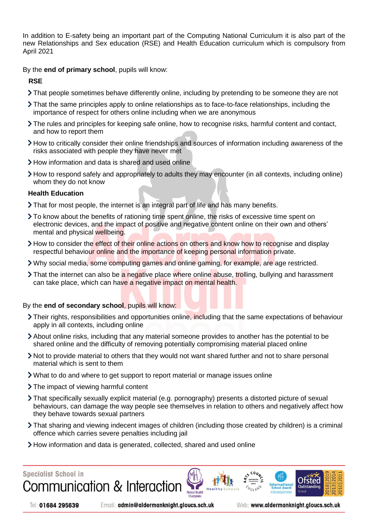In addition to E-safety being an important part of the Computing National Curriculum it is also part of the new Relationships and Sex education (RSE) and Health Education curriculum which is compulsory from April 2021

By the **end of primary school**, pupils will know:

#### **RSE**

- That people sometimes behave differently online, including by pretending to be someone they are not
- That the same principles apply to online relationships as to face-to-face relationships, including the importance of respect for others online including when we are anonymous
- The rules and principles for keeping safe online, how to recognise risks, harmful content and contact, and how to report them
- How to critically consider their online friendships and sources of information including awareness of the risks associated with people they have never met
- How information and data is shared and used online
- How to respond safely and appropriately to adults they may encounter (in all contexts, including online) whom they do not know

#### **Health Education**

- That for most people, the internet is an integral part of life and has many benefits.
- To know about the benefits of rationing time spent online, the risks of excessive time spent on electronic devices, and the impact of positive and negative content online on their own and others' mental and physical wellbeing.
- > How to consider the effect of their online actions on others and know how to recognise and display respectful behaviour online and the importance of keeping personal information private.
- Why social media, some computing games and online gaming, for example, are age restricted.
- If That the internet can also be a negative place where online abuse, trolling, bullying and harassment can take place, which can have a negative impact on mental health.

#### By the **end of secondary school**, pupils will know:

- Their rights, responsibilities and opportunities online, including that the same expectations of behaviour apply in all contexts, including online
- About online risks, including that any material someone provides to another has the potential to be shared online and the difficulty of removing potentially compromising material placed online
- Not to provide material to others that they would not want shared further and not to share personal material which is sent to them
- What to do and where to get support to report material or manage issues online
- The impact of viewing harmful content
- That specifically sexually explicit material (e.g. pornography) presents a distorted picture of sexual behaviours, can damage the way people see themselves in relation to others and negatively affect how they behave towards sexual partners
- That sharing and viewing indecent images of children (including those created by children) is a criminal offence which carries severe penalties including jail
- How information and data is generated, collected, shared and used online



Tel: 01684 295639

Email: admin@aldermanknight.gloucs.sch.uk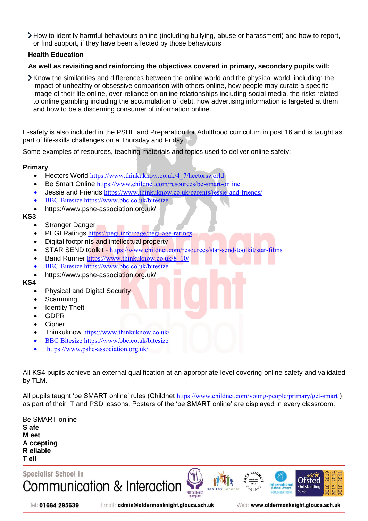How to identify harmful behaviours online (including bullying, abuse or harassment) and how to report, or find support, if they have been affected by those behaviours

#### **Health Education**

#### **As well as revisiting and reinforcing the objectives covered in primary, secondary pupils will:**

 $\blacktriangleright$  Know the similarities and differences between the online world and the physical world, including: the impact of unhealthy or obsessive comparison with others online, how people may curate a specific image of their life online, over-reliance on online relationships including social media, the risks related to online gambling including the accumulation of debt, how advertising information is targeted at them and how to be a discerning consumer of information online.

E-safety is also included in the PSHE and Preparation for Adulthood curriculum in post 16 and is taught as part of life-skills challenges on a Thursday and Friday.

Some examples of resources, teaching materials and topics used to deliver online safety:

#### **Primary**

- Hectors World https://www.thinkuknow.co.uk/4 7/hectorsworld
- Be Smart Online <https://www.childnet.com/resources/be-smart-online>
- Jessie and Friends <https://www.thinkuknow.co.uk/parents/jessie-and-friends/>
- BBC Bitesize<https://www.bbc.co.uk/bitesize>
- https://www.pshe-association.org.uk/

#### **KS3**

- Stranger Danger
- PEGI Ratings <https://pegi.info/page/pegi-age-ratings>
- Digital footprints and intellectual property
- STAR SEND toolkit <https://www.childnet.com/resources/star-send-toolkit/star-films>
- Band Runner [https://www.thinkuknow.co.uk/8\\_10/](https://www.thinkuknow.co.uk/8_10/)
- BBC Bitesize<https://www.bbc.co.uk/bitesize>
- https://www.pshe-association.org.uk/

**KS4**

- Physical and Digital Security
- Scamming
- Identity Theft
- GDPR
- Cipher
- Thinkuknow <https://www.thinkuknow.co.uk/>
- BBC Bitesize<https://www.bbc.co.uk/bitesize>
- https://www.pshe-association.org.uk/

All KS4 pupils achieve an external qualification at an appropriate level covering online safety and validated by TLM.

All pupils taught 'be SMART online' rules (Childnet <https://www.childnet.com/young-people/primary/get-smart> ) as part of their IT and PSD lessons. Posters of the 'be SMART online' are displayed in every classroom.

| <b>Be SMART online</b> |  |  |
|------------------------|--|--|
| S afe                  |  |  |
| M eet                  |  |  |
| A ccepting             |  |  |
| <b>R</b> eliable       |  |  |
| T ell                  |  |  |

**Specialist School in** Communication & Interaction





Email: admin@aldermanknight.gloucs.sch.uk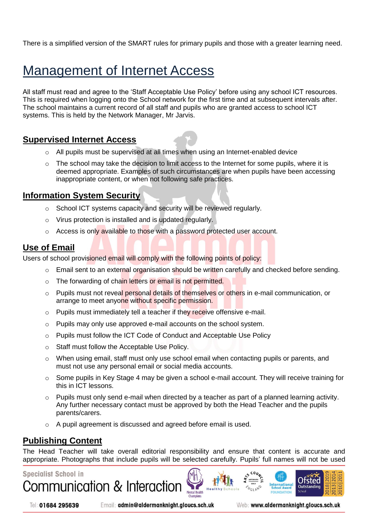There is a simplified version of the SMART rules for primary pupils and those with a greater learning need.

# <span id="page-6-0"></span>Management of Internet Access

All staff must read and agree to the 'Staff Acceptable Use Policy' before using any school ICT resources. This is required when logging onto the School network for the first time and at subsequent intervals after. The school maintains a current record of all staff and pupils who are granted access to school ICT systems. This is held by the Network Manager, Mr Jarvis.

#### <span id="page-6-1"></span>**Supervised Internet Access**

- o All pupils must be supervised at all times when using an Internet-enabled device
- o The school may take the decision to limit access to the Internet for some pupils, where it is deemed appropriate. Examples of such circumstances are when pupils have been accessing inappropriate content, or when not following safe practices.

#### <span id="page-6-2"></span>**Information System Security**

- o School ICT systems capacity and security will be reviewed regularly.
- o Virus protection is installed and is updated regularly.
- $\circ$  Access is only available to those with a password protected user account.

#### <span id="page-6-3"></span>**Use of Email**

Users of school provisioned email will comply with the following points of policy:

- $\circ$  Email sent to an external organisation should be written carefully and checked before sending.
- o The forwarding of chain letters or email is not permitted.
- o Pupils must not reveal personal details of themselves or others in e-mail communication, or arrange to meet anyone without specific permission.
- $\circ$  Pupils must immediately tell a teacher if they receive offensive e-mail.
- o Pupils may only use approved e-mail accounts on the school system.
- o Pupils must follow the ICT Code of Conduct and Acceptable Use Policy
- o Staff must follow the Acceptable Use Policy.
- o When using email, staff must only use school email when contacting pupils or parents, and must not use any personal email or social media accounts.
- $\circ$  Some pupils in Key Stage 4 may be given a school e-mail account. They will receive training for this in ICT lessons.
- $\circ$  Pupils must only send e-mail when directed by a teacher as part of a planned learning activity. Any further necessary contact must be approved by both the Head Teacher and the pupils parents/carers.
- o A pupil agreement is discussed and agreed before email is used.

#### <span id="page-6-4"></span>**Publishing Content**

The Head Teacher will take overall editorial responsibility and ensure that content is accurate and appropriate. Photographs that include pupils will be selected carefully. Pupils' full names will not be used

Mental Health

#### **Specialist School in**

Communication & Interaction

Tel: 01684 295639

Email: admin@aldermanknight.gloucs.sch.uk

Web: www.aldermanknight.gloucs.sch.uk

International

Otsted

 $010$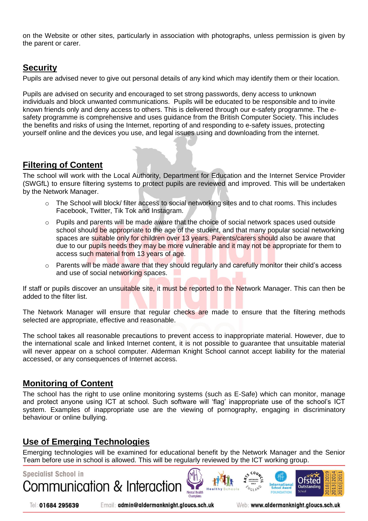on the Website or other sites, particularly in association with photographs, unless permission is given by the parent or carer.

## **Security**

Pupils are advised never to give out personal details of any kind which may identify them or their location.

Pupils are advised on security and encouraged to set strong passwords, deny access to unknown individuals and block unwanted communications. Pupils will be educated to be responsible and to invite known friends only and deny access to others. This is delivered through our e-safety programme. The esafety programme is comprehensive and uses guidance from the British Computer Society. This includes the benefits and risks of using the Internet, reporting of and responding to e-safety issues, protecting yourself online and the devices you use, and legal issues using and downloading from the internet.

## <span id="page-7-0"></span>**Filtering of Content**

The school will work with the Local Authority, Department for Education and the Internet Service Provider (SWGfL) to ensure filtering systems to protect pupils are reviewed and improved. This will be undertaken by the Network Manager.

- $\circ$  The School will block/ filter access to social networking sites and to chat rooms. This includes Facebook, Twitter, Tik Tok and Instagram.
- $\circ$  Pupils and parents will be made aware that the choice of social network spaces used outside school should be appropriate to the age of the student, and that many popular social networking spaces are suitable only for children over 13 years. Parents/carers should also be aware that due to our pupils needs they may be more vulnerable and it may not be appropriate for them to access such material from 13 years of age.
- $\circ$  Parents will be made aware that they should regularly and carefully monitor their child's access and use of social networking spaces.

If staff or pupils discover an unsuitable site, it must be reported to the Network Manager. This can then be added to the filter list.

The Network Manager will ensure that regular checks are made to ensure that the filtering methods selected are appropriate, effective and reasonable.

The school takes all reasonable precautions to prevent access to inappropriate material. However, due to the international scale and linked Internet content, it is not possible to guarantee that unsuitable material will never appear on a school computer. Alderman Knight School cannot accept liability for the material accessed, or any consequences of Internet access.

#### <span id="page-7-1"></span>**Monitoring of Content**

The school has the right to use online monitoring systems (such as E-Safe) which can monitor, manage and protect anyone using ICT at school. Such software will 'flag' inappropriate use of the school's ICT system. Examples of inappropriate use are the viewing of pornography, engaging in discriminatory behaviour or online bullying.

#### <span id="page-7-2"></span>**Use of Emerging Technologies**

Emerging technologies will be examined for educational benefit by the Network Manager and the Senior Team before use in school is allowed. This will be regularly reviewed by the ICT working group.

Mental Health

# **Specialist School in** Communication & Interaction

Tel: 01684 295639

Email: admin@aldermanknight.gloucs.sch.uk

Web: www.aldermanknight.gloucs.sch.uk

International

<span id="page-7-3"></span>Otsted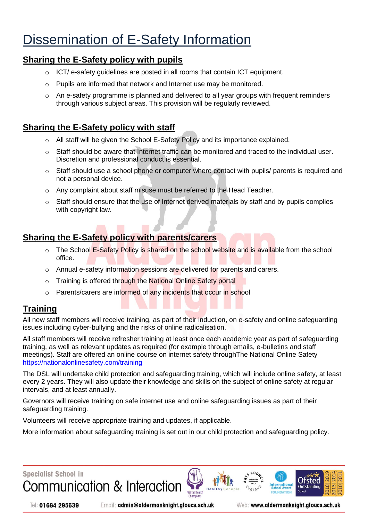# Dissemination of E-Safety Information

#### <span id="page-8-0"></span>**Sharing the E-Safety policy with pupils**

- $\circ$  ICT/ e-safety quidelines are posted in all rooms that contain ICT equipment.
- o Pupils are informed that network and Internet use may be monitored.
- $\circ$  An e-safety programme is planned and delivered to all year groups with frequent reminders through various subject areas. This provision will be regularly reviewed.

## <span id="page-8-1"></span>**Sharing the E-Safety policy with staff**

- $\circ$  All staff will be given the School E-Safety Policy and its importance explained.
- $\circ$  Staff should be aware that Internet traffic can be monitored and traced to the individual user. Discretion and professional conduct is essential.
- $\circ$  Staff should use a school phone or computer where contact with pupils/ parents is required and not a personal device.
- o Any complaint about staff misuse must be referred to the Head Teacher.
- $\circ$  Staff should ensure that the use of Internet derived materials by staff and by pupils complies with copyright law.

## **Sharing the E-Safety policy with parents/carers**

- $\circ$  The School E-Safety Policy is shared on the school website and is available from the school office.
- o Annual e-safety information sessions are delivered for parents and carers.
- o Training is offered through the National Online Safety portal
- o Parents/carers are informed of any incidents that occur in school

## **Training**

All new staff members will receive training, as part of their induction, on e-safety and online safeguarding issues including cyber-bullying and the risks of online radicalisation.

All staff members will receive refresher training at least once each academic year as part of safeguarding training, as well as relevant updates as required (for example through emails, e-bulletins and staff meetings). Staff are offered an online course on internet safety throughThe National Online Safety <https://nationalonlinesafety.com/training>

The DSL will undertake child protection and safeguarding training, which will include online safety, at least every 2 years. They will also update their knowledge and skills on the subject of online safety at regular intervals, and at least annually.

Governors will receive training on safe internet use and online safeguarding issues as part of their safeguarding training.

Volunteers will receive appropriate training and updates, if applicable.

More information about safeguarding training is set out in our child protection and safeguarding policy.



Tel: 01684 295639

Email: admin@aldermanknight.gloucs.sch.uk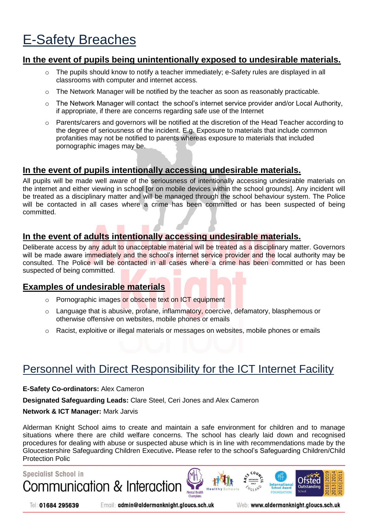# E-Safety Breaches

#### <span id="page-9-0"></span>**In the event of pupils being unintentionally exposed to undesirable materials.**

- $\circ$  The pupils should know to notify a teacher immediately; e-Safety rules are displayed in all classrooms with computer and internet access.
- o The Network Manager will be notified by the teacher as soon as reasonably practicable.
- $\circ$  The Network Manager will contact the school's internet service provider and/or Local Authority, if appropriate, if there are concerns regarding safe use of the Internet
- $\circ$  Parents/carers and governors will be notified at the discretion of the Head Teacher according to the degree of seriousness of the incident. E.g. Exposure to materials that include common profanities may not be notified to parents whereas exposure to materials that included pornographic images may be.

## <span id="page-9-1"></span>**In the event of pupils intentionally accessing undesirable materials.**

All pupils will be made well aware of the seriousness of intentionally accessing undesirable materials on the internet and either viewing in school [or on mobile devices within the school grounds]. Any incident will be treated as a disciplinary matter and will be managed through the school behaviour system. The Police will be contacted in all cases where a crime has been committed or has been suspected of being committed.

## <span id="page-9-2"></span>**In the event of adults intentionally accessing undesirable materials.**

Deliberate access by any adult to unacceptable material will be treated as a disciplinary matter. Governors will be made aware immediately and the school's internet service provider and the local authority may be consulted. The Police will be contacted in all cases where a crime has been committed or has been suspected of being committed.

#### <span id="page-9-3"></span>**Examples of undesirable materials**

- o Pornographic images or obscene text on ICT equipment
- o Language that is abusive, profane, inflammatory, coercive, defamatory, blasphemous or otherwise offensive on websites, mobile phones or emails
- o Racist, exploitive or illegal materials or messages on websites, mobile phones or emails

# <span id="page-9-4"></span>Personnel with Direct Responsibility for the ICT Internet Facility

#### **E-Safety Co-ordinators:** Alex Cameron

**Designated Safeguarding Leads:** Clare Steel, Ceri Jones and Alex Cameron

#### **Network & ICT Manager:** Mark Jarvis

Alderman Knight School aims to create and maintain a safe environment for children and to manage situations where there are child welfare concerns. The school has clearly laid down and recognised procedures for dealing with abuse or suspected abuse which is in line with recommendations made by the Gloucestershire Safeguarding Children Executive**.** Please refer to the school's Safeguarding Children/Child Protection Polic

Mental Health

# **Specialist School in** Communication & Interaction



Email: admin@aldermanknight.gloucs.sch.uk

Web: www.aldermanknight.gloucs.sch.uk

International